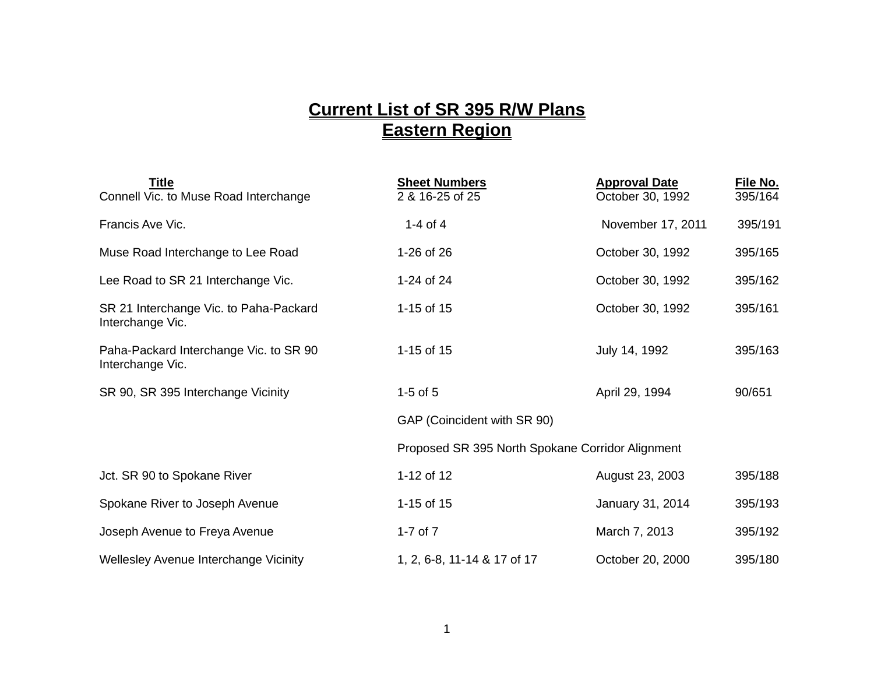## **Current List of SR 395 R/W Plans Eastern Region**

| <b>Title</b><br>Connell Vic. to Muse Road Interchange      | <b>Sheet Numbers</b><br>2 & 16-25 of 25          | <b>Approval Date</b><br>October 30, 1992 | File No.<br>395/164 |
|------------------------------------------------------------|--------------------------------------------------|------------------------------------------|---------------------|
| Francis Ave Vic.                                           | 1-4 of 4                                         | November 17, 2011                        | 395/191             |
| Muse Road Interchange to Lee Road                          | 1-26 of 26                                       | October 30, 1992                         | 395/165             |
| Lee Road to SR 21 Interchange Vic.                         | 1-24 of 24                                       | October 30, 1992                         | 395/162             |
| SR 21 Interchange Vic. to Paha-Packard<br>Interchange Vic. | 1-15 of 15                                       | October 30, 1992                         | 395/161             |
| Paha-Packard Interchange Vic. to SR 90<br>Interchange Vic. | 1-15 of 15                                       | July 14, 1992                            | 395/163             |
| SR 90, SR 395 Interchange Vicinity                         | $1-5$ of $5$                                     | April 29, 1994                           | 90/651              |
|                                                            | GAP (Coincident with SR 90)                      |                                          |                     |
|                                                            | Proposed SR 395 North Spokane Corridor Alignment |                                          |                     |
| Jct. SR 90 to Spokane River                                | 1-12 of 12                                       | August 23, 2003                          | 395/188             |
| Spokane River to Joseph Avenue                             | 1-15 of 15                                       | January 31, 2014                         | 395/193             |
| Joseph Avenue to Freya Avenue                              | 1-7 of $7$                                       | March 7, 2013                            | 395/192             |
| Wellesley Avenue Interchange Vicinity                      | 1, 2, 6-8, 11-14 & 17 of 17                      | October 20, 2000                         | 395/180             |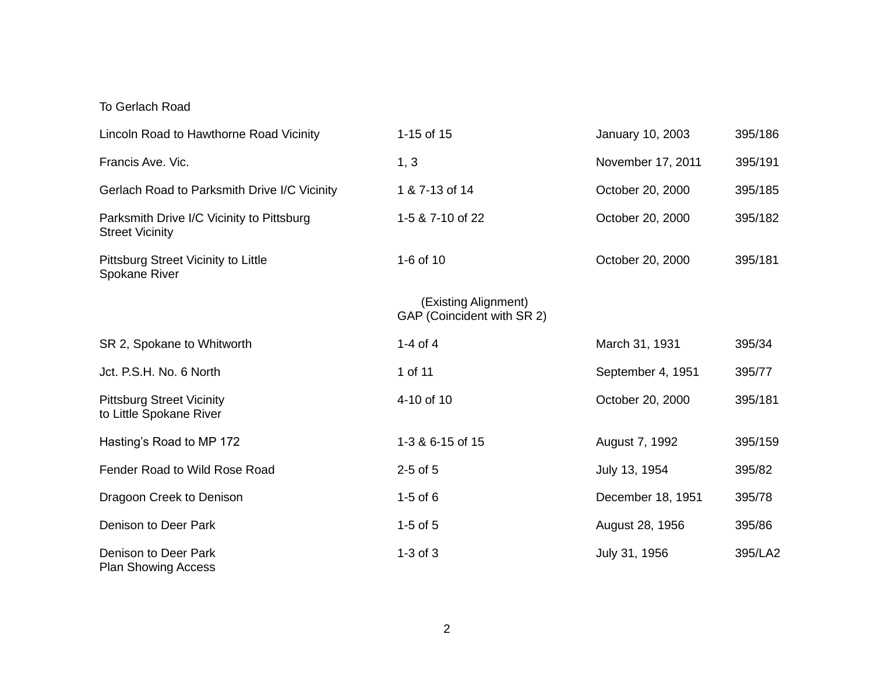## To Gerlach Road

| Lincoln Road to Hawthorne Road Vicinity                             | 1-15 of 15                                         | January 10, 2003  | 395/186 |
|---------------------------------------------------------------------|----------------------------------------------------|-------------------|---------|
| Francis Ave. Vic.                                                   | 1, 3                                               | November 17, 2011 | 395/191 |
| Gerlach Road to Parksmith Drive I/C Vicinity                        | 1 & 7-13 of 14                                     | October 20, 2000  | 395/185 |
| Parksmith Drive I/C Vicinity to Pittsburg<br><b>Street Vicinity</b> | 1-5 & 7-10 of 22                                   | October 20, 2000  | 395/182 |
| Pittsburg Street Vicinity to Little<br>Spokane River                | 1-6 of 10                                          | October 20, 2000  | 395/181 |
|                                                                     | (Existing Alignment)<br>GAP (Coincident with SR 2) |                   |         |
| SR 2, Spokane to Whitworth                                          | $1-4$ of $4$                                       | March 31, 1931    | 395/34  |
| Jct. P.S.H. No. 6 North                                             | 1 of 11                                            | September 4, 1951 | 395/77  |
| <b>Pittsburg Street Vicinity</b><br>to Little Spokane River         | 4-10 of 10                                         | October 20, 2000  | 395/181 |
| Hasting's Road to MP 172                                            | 1-3 & 6-15 of 15                                   | August 7, 1992    | 395/159 |
| Fender Road to Wild Rose Road                                       | $2-5$ of $5$                                       | July 13, 1954     | 395/82  |
| Dragoon Creek to Denison                                            | $1-5$ of 6                                         | December 18, 1951 | 395/78  |
| Denison to Deer Park                                                | $1-5$ of $5$                                       | August 28, 1956   | 395/86  |
| Denison to Deer Park<br><b>Plan Showing Access</b>                  | $1-3$ of $3$                                       | July 31, 1956     | 395/LA2 |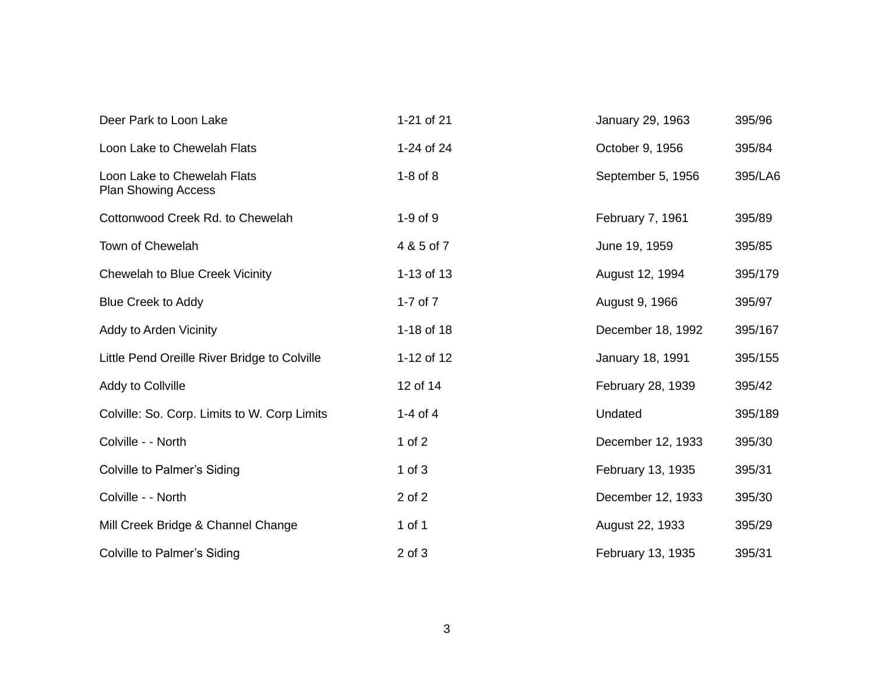| Deer Park to Loon Lake                                    | 1-21 of 21   | January 29, 1963  | 395/96  |
|-----------------------------------------------------------|--------------|-------------------|---------|
| Loon Lake to Chewelah Flats                               | 1-24 of 24   | October 9, 1956   | 395/84  |
| Loon Lake to Chewelah Flats<br><b>Plan Showing Access</b> | $1-8$ of $8$ | September 5, 1956 | 395/LA6 |
| Cottonwood Creek Rd. to Chewelah                          | $1-9$ of $9$ | February 7, 1961  | 395/89  |
| Town of Chewelah                                          | 4 & 5 of 7   | June 19, 1959     | 395/85  |
| <b>Chewelah to Blue Creek Vicinity</b>                    | 1-13 of 13   | August 12, 1994   | 395/179 |
| <b>Blue Creek to Addy</b>                                 | 1-7 of $7$   | August 9, 1966    | 395/97  |
| Addy to Arden Vicinity                                    | 1-18 of 18   | December 18, 1992 | 395/167 |
| Little Pend Oreille River Bridge to Colville              | 1-12 of 12   | January 18, 1991  | 395/155 |
| Addy to Collville                                         | 12 of 14     | February 28, 1939 | 395/42  |
| Colville: So. Corp. Limits to W. Corp Limits              | 1-4 of 4     | Undated           | 395/189 |
| Colville - - North                                        | 1 of $2$     | December 12, 1933 | 395/30  |
| <b>Colville to Palmer's Siding</b>                        | $1$ of $3$   | February 13, 1935 | 395/31  |
| Colville - - North                                        | 2 of 2       | December 12, 1933 | 395/30  |
| Mill Creek Bridge & Channel Change                        | 1 of 1       | August 22, 1933   | 395/29  |
| <b>Colville to Palmer's Siding</b>                        | $2$ of $3$   | February 13, 1935 | 395/31  |